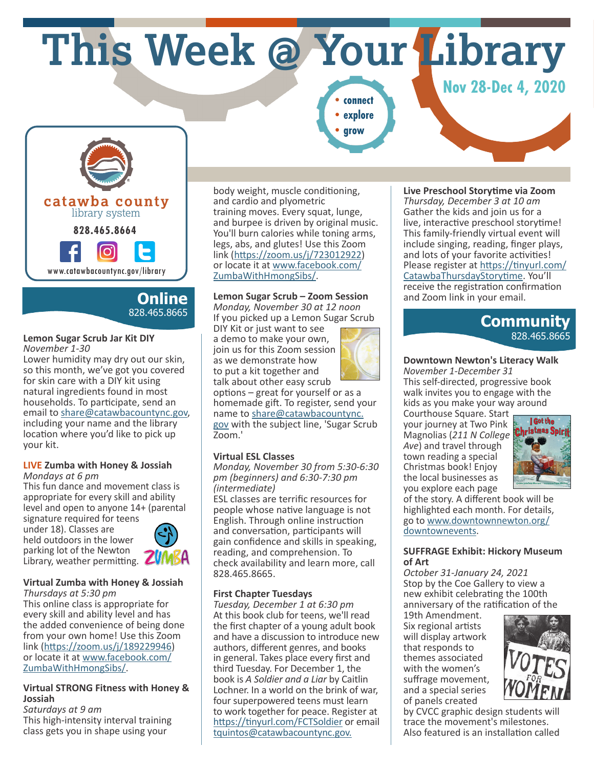**This Week @ Your Library**

*Nov* **28-Dec 4, 2020 •explore**

**•grow**



# **Online** 828.465.8665

#### **Lemon Sugar Scrub Jar Kit DIY** *November 1-30*

Lower humidity may dry out our skin, so this month, we've got you covered for skin care with a DIY kit using natural ingredients found in most households. To participate, send an email to share@catawbacountync.gov, including your name and the library location where you'd like to pick up your kit.

#### **LIVE Zumba with Honey & Jossiah** *Mondays at 6 pm*

This fun dance and movement class is appropriate for every skill and ability level and open to anyone 14+ (parental signature required for teens

under 18). Classes are held outdoors in the lower parking lot of the Newton Library, weather permitting. **ZUMBA** 



## **Virtual Zumba with Honey & Jossiah**

*Thursdays at 5:30 pm* This online class is appropriate for every skill and ability level and has the added convenience of being done from your own home! Use this Zoom link (https://zoom.us/j/189229946) or locate it at www.facebook.com/ ZumbaWithHmongSibs/.

#### **Virtual STRONG Fitness with Honey & Jossiah**

*Saturdays at 9 am* This high-intensity interval training class gets you in shape using your

body weight, muscle conditioning, and cardio and plyometric training moves. Every squat, lunge, and burpee is driven by original music. You'll burn calories while toning arms, legs, abs, and glutes! Use this Zoom link (https://zoom.us/j/723012922) or locate it at www.facebook.com/ ZumbaWithHmongSibs/.

## **Lemon Sugar Scrub – Zoom Session**

*Monday, November 30 at 12 noon* If you picked up a Lemon Sugar Scrub DIY Kit or just want to see a demo to make your own,

join us for this Zoom session as we demonstrate how to put a kit together and



talk about other easy scrub options – great for yourself or as a homemade gift. To register, send your name to share@catawbacountync. gov with the subject line, 'Sugar Scrub Zoom.'

## **Virtual ESL Classes**

*Monday, November 30 from 5:30-6:30 pm (beginners) and 6:30-7:30 pm (intermediate)*

ESL classes are terrific resources for people whose native language is not English. Through online instruction and conversation, participants will gain confidence and skills in speaking, reading, and comprehension. To check availability and learn more, call 828.465.8665.

## **First Chapter Tuesdays**

*Tuesday, December 1 at 6:30 pm* At this book club for teens, we'll read the first chapter of a young adult book and have a discussion to introduce new authors, different genres, and books in general. Takes place every first and third Tuesday. For December 1, the book is *A Soldier and a Liar* by Caitlin Lochner. In a world on the brink of war, four superpowered teens must learn to work together for peace. Register at https://tinyurl.com/FCTSoldier or email tquintos@catawbacountync.gov.

## **Live Preschool Storytime via Zoom**

*Thursday, December 3 at 10 am* Gather the kids and join us for a live, interactive preschool storytime! This family-friendly virtual event will include singing, reading, finger plays, and lots of your favorite activities! Please register at https://tinyurl.com/ CatawbaThursdayStorytime. You'll receive the registration confirmation and Zoom link in your email.

# **Community** 828.465.8665

### **Downtown Newton's Literacy Walk**

*November 1-December 31* This self-directed, progressive book walk invites you to engage with the kids as you make your way around

Courthouse Square. Start your journey at Two Pink Magnolias (*211 N College Ave*) and travel through town reading a special Christmas book! Enjoy the local businesses as you explore each page



of the story. A different book will be highlighted each month. For details, go to www.downtownnewton.org/ downtownevents.

#### **SUFFRAGE Exhibit: Hickory Museum of Art**

*October 31-January 24, 2021* Stop by the Coe Gallery to view a new exhibit celebrating the 100th anniversary of the ratification of the

19th Amendment. Six regional artists will display artwork that responds to themes associated with the women's suffrage movement, and a special series of panels created



by CVCC graphic design students will trace the movement's milestones. Also featured is an installation called